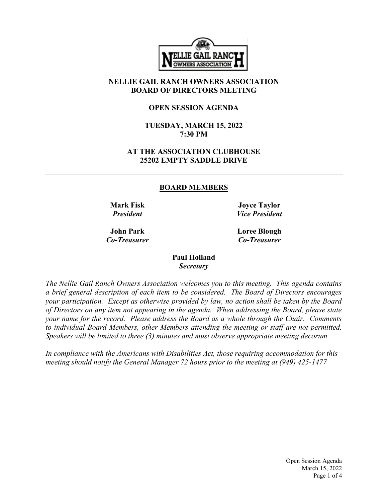

## NELLIE GAIL RANCH OWNERS ASSOCIATION BOARD OF DIRECTORS MEETING

#### OPEN SESSION AGENDA

#### TUESDAY, MARCH 15, 2022 7:30 PM

## AT THE ASSOCIATION CLUBHOUSE 25202 EMPTY SADDLE DRIVE

#### BOARD MEMBERS

Mark Fisk President

Joyce Taylor Vice President

John Park Co-Treasurer Loree Blough Co-Treasurer

#### Paul Holland **Secretary**

The Nellie Gail Ranch Owners Association welcomes you to this meeting. This agenda contains a brief general description of each item to be considered. The Board of Directors encourages your participation. Except as otherwise provided by law, no action shall be taken by the Board of Directors on any item not appearing in the agenda. When addressing the Board, please state your name for the record. Please address the Board as a whole through the Chair. Comments to individual Board Members, other Members attending the meeting or staff are not permitted. Speakers will be limited to three (3) minutes and must observe appropriate meeting decorum.

In compliance with the Americans with Disabilities Act, those requiring accommodation for this meeting should notify the General Manager 72 hours prior to the meeting at (949) 425-1477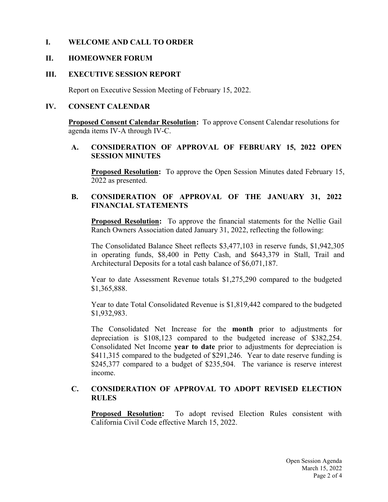## I. WELCOME AND CALL TO ORDER

#### II. HOMEOWNER FORUM

#### III. EXECUTIVE SESSION REPORT

Report on Executive Session Meeting of February 15, 2022.

#### IV. CONSENT CALENDAR

Proposed Consent Calendar Resolution: To approve Consent Calendar resolutions for agenda items IV-A through IV-C.

#### A. CONSIDERATION OF APPROVAL OF FEBRUARY 15, 2022 OPEN SESSION MINUTES

Proposed Resolution: To approve the Open Session Minutes dated February 15, 2022 as presented.

## B. CONSIDERATION OF APPROVAL OF THE JANUARY 31, 2022 FINANCIAL STATEMENTS

Proposed Resolution: To approve the financial statements for the Nellie Gail Ranch Owners Association dated January 31, 2022, reflecting the following:

The Consolidated Balance Sheet reflects \$3,477,103 in reserve funds, \$1,942,305 in operating funds, \$8,400 in Petty Cash, and \$643,379 in Stall, Trail and Architectural Deposits for a total cash balance of \$6,071,187.

Year to date Assessment Revenue totals \$1,275,290 compared to the budgeted \$1,365,888.

Year to date Total Consolidated Revenue is \$1,819,442 compared to the budgeted \$1,932,983.

The Consolidated Net Increase for the month prior to adjustments for depreciation is \$108,123 compared to the budgeted increase of \$382,254. Consolidated Net Income year to date prior to adjustments for depreciation is \$411,315 compared to the budgeted of \$291,246. Year to date reserve funding is \$245,377 compared to a budget of \$235,504. The variance is reserve interest income.

#### C. CONSIDERATION OF APPROVAL TO ADOPT REVISED ELECTION RULES

**Proposed Resolution:** To adopt revised Election Rules consistent with California Civil Code effective March 15, 2022.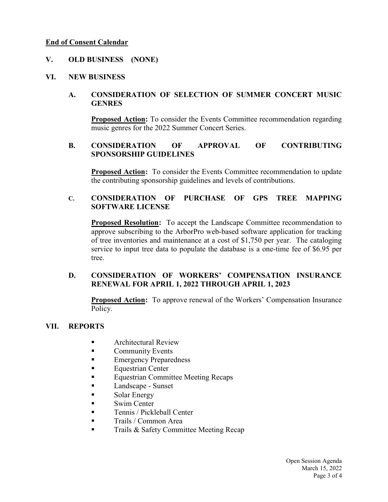#### End of Consent Calendar

## V. OLD BUSINESS (NONE)

#### VI. NEW BUSINESS

## A. CONSIDERATION OF SELECTION OF SUMMER CONCERT MUSIC **GENRES**

Proposed Action: To consider the Events Committee recommendation regarding music genres for the 2022 Summer Concert Series.

### B. CONSIDERATION OF APPROVAL OF CONTRIBUTING SPONSORSHIP GUIDELINES

Proposed Action: To consider the Events Committee recommendation to update the contributing sponsorship guidelines and levels of contributions.

#### C. CONSIDERATION OF PURCHASE OF GPS TREE MAPPING SOFTWARE LICENSE

**Proposed Resolution:** To accept the Landscape Committee recommendation to approve subscribing to the ArborPro web-based software application for tracking of tree inventories and maintenance at a cost of \$1,750 per year. The cataloging service to input tree data to populate the database is a one-time fee of \$6.95 per tree.

## D. CONSIDERATION OF WORKERS' COMPENSATION INSURANCE RENEWAL FOR APRIL 1, 2022 THROUGH APRIL 1, 2023

Proposed Action: To approve renewal of the Workers' Compensation Insurance Policy.

#### VII. REPORTS

- Architectural Review
- **Community Events**
- Emergency Preparedness
- Equestrian Center
- Equestrian Committee Meeting Recaps
- Landscape Sunset
- Solar Energy
- Swim Center
- Tennis / Pickleball Center
- Trails / Common Area
- Trails & Safety Committee Meeting Recap